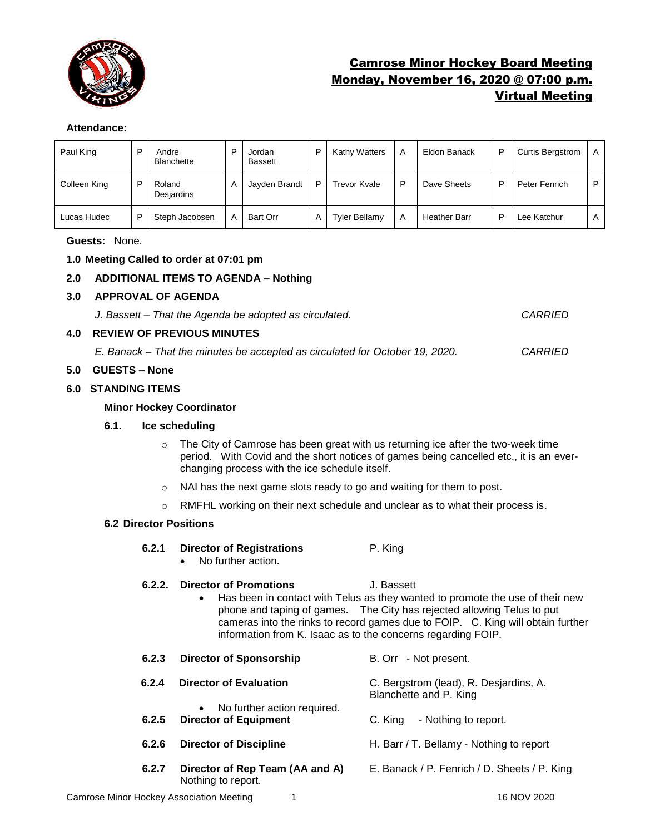

# Camrose Minor Hockey Board Meeting Monday, November 16, 2020 @ 07:00 p.m. Virtual Meeting

## **Attendance:**

| Paul King    | D | Andre<br><b>Blanchette</b> | D | Jordan<br><b>Bassett</b> | D | Kathy Watters | A | Eldon Banack        | P | <b>Curtis Bergstrom</b> | A |
|--------------|---|----------------------------|---|--------------------------|---|---------------|---|---------------------|---|-------------------------|---|
| Colleen King | D | Roland<br>Desjardins       | A | Jayden Brandt            | D | Trevor Kvale  | D | Dave Sheets         | P | Peter Fenrich           | D |
| Lucas Hudec  | D | Steph Jacobsen             | A | Bart Orr                 | Α | Tyler Bellamy | A | <b>Heather Barr</b> | P | Lee Katchur             | A |

#### **Guests:** None.

### **1.0 Meeting Called to order at 07:01 pm**

## **2.0 ADDITIONAL ITEMS TO AGENDA – Nothing**

#### **3.0 APPROVAL OF AGENDA**

*J. Bassett – That the Agenda be adopted as circulated. CARRIED*

### **4.0 REVIEW OF PREVIOUS MINUTES**

*E. Banack – That the minutes be accepted as circulated for October 19, 2020. CARRIED*

#### **5.0 GUESTS – None**

### **6.0 STANDING ITEMS**

#### **Minor Hockey Coordinator**

#### **6.1. Ice scheduling**

- $\circ$  The City of Camrose has been great with us returning ice after the two-week time period. With Covid and the short notices of games being cancelled etc., it is an everchanging process with the ice schedule itself.
- o NAI has the next game slots ready to go and waiting for them to post.
- $\circ$  RMFHL working on their next schedule and unclear as to what their process is.

#### **6.2 Director Positions**

- **6.2.1 Director of Registrations** P. King
	- No further action.

## **6.2.2. Director of Promotions** J. Bassett

• Has been in contact with Telus as they wanted to promote the use of their new phone and taping of games. The City has rejected allowing Telus to put cameras into the rinks to record games due to FOIP. C. King will obtain further information from K. Isaac as to the concerns regarding FOIP.

| 6.2.3 | <b>Director of Sponsorship</b>                                | B. Orr - Not present.                                            |  |  |  |  |
|-------|---------------------------------------------------------------|------------------------------------------------------------------|--|--|--|--|
| 6.2.4 | <b>Director of Evaluation</b>                                 | C. Bergstrom (lead), R. Desjardins, A.<br>Blanchette and P. King |  |  |  |  |
| 6.2.5 | • No further action required.<br><b>Director of Equipment</b> | - Nothing to report.<br>C. King                                  |  |  |  |  |
| 6.2.6 | <b>Director of Discipline</b>                                 | H. Barr / T. Bellamy - Nothing to report                         |  |  |  |  |
| 6.2.7 | Director of Rep Team (AA and A)<br>Nothing to report.         | E. Banack / P. Fenrich / D. Sheets / P. King                     |  |  |  |  |